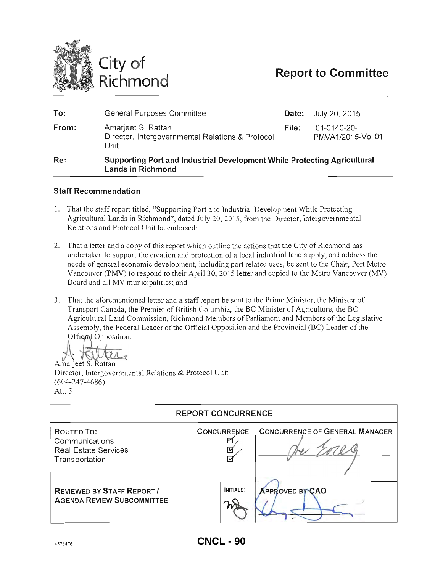

| <b>D</b> | Cunnarting Dart and Industrial Douglanmant While Dratesting Aprior (ture)      |       |                                  |
|----------|--------------------------------------------------------------------------------|-------|----------------------------------|
| From:    | Amarjeet S. Rattan<br>Director, Intergovernmental Relations & Protocol<br>Unit | File: | 01-0140-20-<br>PMVA1/2015-Vol 01 |
| To:      | General Purposes Committee                                                     |       | <b>Date:</b> July 20, 2015       |
|          |                                                                                |       |                                  |

## Re: Supporting Port and Industrial Development While Protecting Agricultural Lands in Richmond

# Staff Recommendation

- 1. That the staff report titled, "Supporting Port and Industrial Development While Protecting Agricultural Lands in Richmond", dated July 20, 2015, from the Director, Intergovernmental Relations and Protocol Unit be endorsed;
- 2. That a letter and a copy of this report which outline the actions that the City of Richmond has undertaken to support the creation and protection of a local industrial land supply, and address the needs of general economic development, including port related uses, be sent to the Chair, Port Metro Vancouver (PMY) to respond to their April 30, 2015 letter and copied to the Metro Vancouver (MY) Board and all MV municipalities; and
- 3. That the aforementioned letter and a staff report be sent to the Prime Minister, the Minister of Transport Canada, the Premier of British Columbia, the BC Minister of Agriculture, the BC Agricultural Land Commission, Richmond Members of Parliament and Members of the Legislative Assembly, the Federal Leader of the Official Opposition and the Provincial (BC) Leader of the Official Opposition.

Amarjeet S. Rattan Director, Intergovernmental Relations & Protocol Unit (604-247-4686) Att.5

| <b>REPORT CONCURRENCE</b>                                                     |                              |                                       |  |  |  |
|-------------------------------------------------------------------------------|------------------------------|---------------------------------------|--|--|--|
| ROUTED TO:<br>Communications<br><b>Real Estate Services</b><br>Transportation | <b>CONCURRENCE</b><br>⊡<br>⊵ | <b>CONCURRENCE OF GENERAL MANAGER</b> |  |  |  |
| <b>REVIEWED BY STAFF REPORT/</b><br><b>AGENDA REVIEW SUBCOMMITTEE</b>         | <b>INITIALS:</b>             | <b>APPROVED BY CAO</b>                |  |  |  |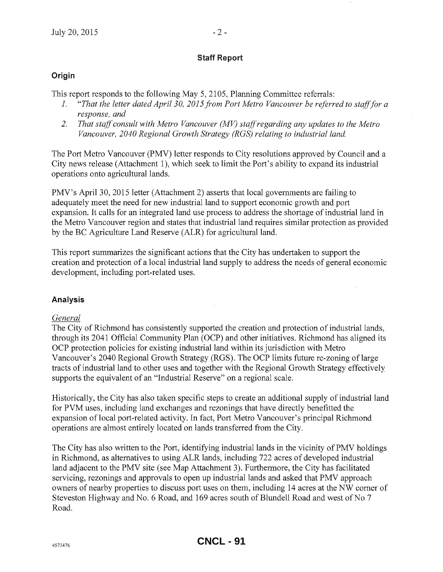# Staff Report

# **Origin**

This report responds to the following May 5, 2105, Planning Committee referrals:

- 1. *"That the letter dated April 30, 2015 from Port Metro Vancouver be referred to stafffor a response, and*
- *2. That staff consult with Metro Vancouver (MV) staff regarding any updates to the Metro Vancouver, 2040 Regional Growth Strategy (RGS) relating to industrial land.*

The Port Metro Vancouver (PMV) letter responds to City resolutions approved by Council and a City news release (Attachment 1), which seek to limit the Port's ability to expand its industrial operations onto agricultural lands.

PMV's April 30, 2015 letter (Attachment 2) asserts that local governments are failing to adequately meet the need for new industrial land to support economic growth and port expansion. It calls for an integrated land use process to address the shortage of industrial land in the Metro Vancouver region and states that industrial land requires similar protection as provided by the BC Agriculture Land Reserve (ALR) for agricultural land.

This report summarizes the significant actions that the City has undertaken to support the creation and protection of a local industrial land supply to address the needs of general economic development, including port-related uses.

# Analysis

# *General*

The City of Richmond has consistently supported the creation and protection of industrial lands, through its 2041 Official Community Plan (OCP) and other initiatives. Richmond has aligned its OCP protection policies for existing industrial land within its jurisdiction with Metro Vancouver's 2040 Regional Growth Strategy (RGS). The OCP limits future re-zoning of large tracts of industrial land to other uses and together with the Regional Growth Strategy effectively supports the equivalent of an "Industrial Reserve" on a regional scale.

Historically, the City has also taken specific steps to create an additional supply of industrial land for PVM uses, including land exchanges and rezonings that have directly benefitted the expansion of local port-related activity. In fact, Port Metro Vancouver's principal Richmond operations are almost entirely located on lands transferred from the City.

The City has also written to the Port, identifying industrial lands in the vicinity of PMV holdings in Richmond, as alternatives to using ALR lands, including 722 acres of developed industrial land adjacent to the PMV site (see Map Attachment 3). Furthermore, the City has facilitated servicing, rezonings and approvals to open up industrial lands and asked that PMV approach owners of nearby properties to discuss port uses on them, including 14 acres at the NW corner of Steveston Highway and No.6 Road, and 169 acres south of Blundell Road and west of No 7 Road.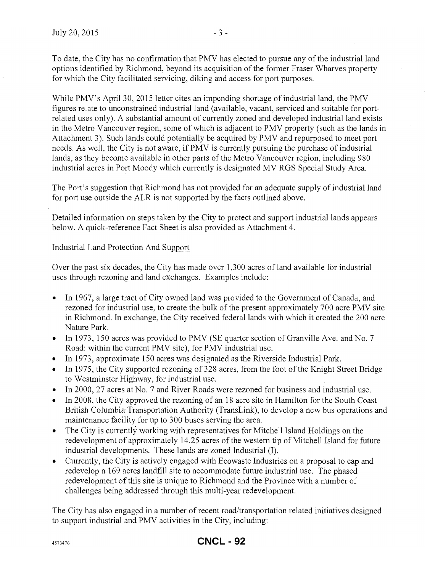To date, the City has no confirmation that PMV has elected to pursue any of the industrial land options identified by Richmond, beyond its acquisition of the former Fraser Wharves property for which the City facilitated servicing, diking and access for port purposes.

While PMV's April 30, 2015 letter cites an impending shortage of industrial land, the PMV figures relate to unconstrained industrial land (available, vacant, serviced and suitable for portrelated uses only). A substantial amount of currently zoned and developed industrial land exists in the Metro Vancouver region, some of which is adjacent to PMV property (such as the lands in Attachment 3). Such lands could potentially be acquired by PMV and repurposed to meet port needs. As well, the City is not aware, if PMV is currently pursuing the purchase of industrial lands, as they become available in other parts of the Metro Vancouver region, including 980 industrial acres in Port Moody which currently is designated MV RGS Special Study Area.

The Port's suggestion that Richmond has not provided for an adequate supply of industrial land for port use outside the ALR is not supported by the facts outlined above.

Detailed information on steps taken by the City to protect and support industrial lands appears below. A quick-reference Fact Sheet is also provided as Attachment 4.

# Industrial Land Protection And Support

Over the past six decades, the City has made over 1,300 acres of land available for industrial uses through rezoning and land exchanges. Examples include:

- In 1967, a large tract of City owned land was provided to the Government of Canada, and rezoned for industrial use, to create the bulk of the present approximately 700 acre PMV site in Richmond. In exchange, the City received federal lands with which it created the 200 acre Nature Park.
- In 1973, 150 acres was provided to PMV (SE quarter section of Granville Ave. and No. 7 Road: within the current PMV site), for PMV industrial use.
- In 1973, approximate 150 acres was designated as the Riverside Industrial Park.
- In 1975, the City supported rezoning of 328 acres, from the foot of the Knight Street Bridge to Westminster Highway, for industrial use.
- In 2000, 27 acres at No. 7 and River Roads were rezoned for business and industrial use.
- In 2008, the City approved the rezoning of an 18 acre site in Hamilton for the South Coast British Columbia Transportation Authority (TransLink), to develop a new bus operations and maintenance facility for up to 300 buses serving the area.
- The City is currently working with representatives for Mitchell Island Holdings on the redevelopment of approximately 14.25 acres of the western tip of Mitchell Island for future industrial developments. These lands are zoned Industrial (1).
- e Currently, the City is actively engaged with Ecowaste Industries on a proposal to cap and redevelop a 169 acres landfill site to accommodate future industrial use. The phased redevelopment of this site is unique to Richmond and the Province with a number of challenges being addressed through this multi-year redevelopment.

The City has also engaged in a number of recent road/transportation related initiatives designed to support industrial and PMV activities in the City, including: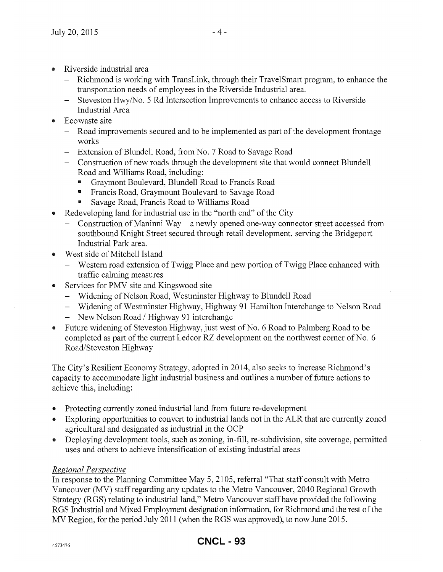- Riverside industrial area
	- Richmond is working with TransLink, through their TravelSmart program, to enhance the transportation needs of employees in the Riverside Industrial area.
	- Steveston Hwy/No. 5 Rd Intersection Improvements to enhance access to Riverside Industrial Area
- Ecowaste site
	- Road improvements secured and to be implemented as part of the development frontage works
	- Extension of Blundell Road, from No.7 Road to Savage Road
	- Construction of new roads through the development site that would connect Blundell Road and Williams Road, including:
		- .. Graymont Boulevard, Blundell Road to Francis Road
		- .. Francis Road, Graymount Boulevard to Savage Road
		- Savage Road, Francis Road to Williams Road
- Redeveloping land for industrial use in the "north end" of the City
	- Construction of Maninni Way a newly opened one-way connector street accessed from southbound Knight Street secured through retail development, serving the Bridgeport Industrial Park area.
- West side of Mitchell Island
	- Western road extension of Twigg Place and new portion of Twigg Place enhanced with traffic calming measures
- Services for PMV site and Kingswood site
	- Widening of Nelson Road, Westminster Highway to Blundell Road
	- Widening of Westminster Highway, Highway 91 Hamilton Interchange to Nelson Road
	- $-$  New Nelson Road / Highway 91 interchange
- Future widening of Steveston Highway, just west of No. 6 Road to Palmberg Road to be completed as part of the current Ledcor RZ development on the northwest corner of No. 6 Road/Steveston Highway

The City's Resilient Economy Strategy, adopted in 2014, also seeks to increase Richmond's capacity to accommodate light industrial business and outlines a number of future actions to achieve this, including:

- Protecting currently zoned industrial land from future re-development
- Exploring opportunities to convert to industrial lands not in the ALR that are currently zoned agricultural and designated as industrial in the OCP
- Deploying development tools, such as zoning, in-fill, re-subdivision, site coverage, permitted uses and others to achieve intensification of existing industrial areas

# *Regional Perspective*

In response to the Planning Committee May 5, 2105, referral "That staff consult with Metro Vancouver (MV) staff regarding any updates to the Metro Vancouver, 2040 Regional Growth Strategy (RGS) relating to industrial land," Metro Vancouver staffhave provided the following RGS Industrial and Mixed Employment designation information, for Richmond and the rest of the MV Region, for the period July 2011 (when the RGS was approved), to now June 2015.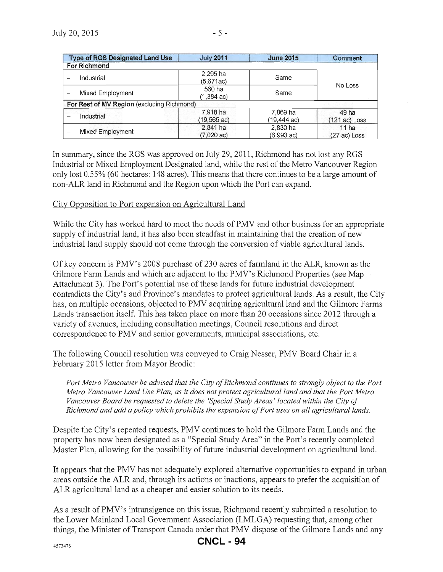| <b>Type of RGS Designated Land Use</b>     | <b>July 2011</b>                   | <b>June 2015</b>                   | <b>Comment</b>                     |
|--------------------------------------------|------------------------------------|------------------------------------|------------------------------------|
| <b>For Richmond</b>                        |                                    |                                    |                                    |
| Industrial                                 | 2,295 ha<br>(5.671ac)              | Same                               |                                    |
| Mixed Employment                           | 560 ha<br>$(1,384 \text{ ac})$     | Same                               | No Loss                            |
| For Rest of MV Region (excluding Richmond) |                                    |                                    |                                    |
| Industrial                                 | 7.918 ha<br>$(19, 565 \text{ ac})$ | 7.869 ha<br>$(19, 444 \text{ ac})$ | 49 ha<br>$(121 ac)$ Loss           |
| Mixed Employment                           | $2.841$ ha<br>$(7,020 \text{ ac})$ | 2.830 ha<br>(6.993 ac)             | 11 <sub>ha</sub><br>$(27 ac)$ Loss |

In summary, since the RGS was approved on July 29, 2011 , Richmond has not lost any RGS Industrial or Mixed Employment Designated land, while the rest of the Metro Vancouver Region only lost 0.55% (60 hectares: 148 acres). This means that there continues to be a large amount of non-ALR land in Richmond and the Region upon which the Port can expand.

# City Opposition to Port expansion on Agricultural Land

While the City has worked hard to meet the needs of PMV and other business for an appropriate supply of industrial land, it has also been steadfast in maintaining that the creation of new industrial land supply should not come through the conversion of viable agricultural lands.

Of key concern is PMV's 2008 purchase of230 acres of farmland in the ALR, known as the Gilmore Farm Lands and which are adjacent to the PMV's Richmond Properties (see Map Attachment 3). The Port's potential use of these lands for future industrial development contradicts the City's and Province's mandates to protect agricultural lands. As a result, the City has, on multiple occasions, objected to PMV acquiring agricultural land and the Gilmore Farms Lands transaction itself. This has taken place on more than 20 occasions since 2012 through a variety of avenues, including consultation meetings, Council resolutions and direct correspondence to PMV and senior governments, municipal associations, etc.

The following Council resolution was conveyed to Craig Nesser, PMV Board Chair in a February 2015 letter from Mayor Brodie:

*Port Metro Vancouver be advised that the City of Richmond continues to strongly object to the Port Metro Vancouver Land Use Plan, as it does not protect agricultural land and that the Port Metro Vancouver Board be requested to delete the 'Special Study Areas' located within the City of Richmond and add a policy which prohibits the expansion of Port uses on all agricultural lands.* 

Despite the City's repeated requests, PMV continues to hold the Gilmore Farm Lands and the property has now been designated as a "Special Study Area" in the Port's recently completed Master Plan, allowing for the possibility of future industrial development on agricultural land.

It appears that the PMV has not adequately explored alternative opportunities to expand in urban areas outside the ALR and, through its actions or inactions, appears to prefer the acquisition of ALR agricultural land as a cheaper and easier solution to its needs.

As a result of PMV's intransigence on this issue, Richmond recently submitted a resolution to the Lower Mainland Local Government Association (LMLGA) requesting that, among other things, the Minister of Transport Canada order that PMV dispose of the Gilmore Lands and any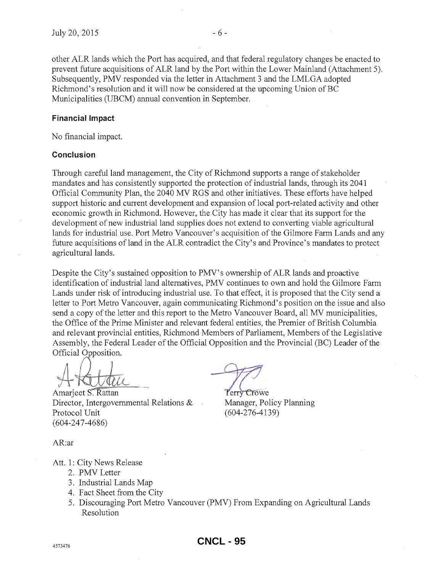other ALR lands which the Port has acquired, and that federal regulatory changes be enacted to prevent future acquisitions of ALR land by the Port within the Lower Mainland (Attachment 5). Subsequently, PMV responded via the letter in Attachment 3 and the LMLGA adopted Richmond's resolution and it will now be considered at the upcoming Union of BC Municipalities (UBCM) annual convention in September.

### Financial Impact

No financial impact.

### **Conclusion**

Through careful land management, the City of Richmond supports a range of stakeholder mandates and has consistently supported the protection of industrial lands, through its 2041 Official Community Plan, the 2040 MV RGS and other initiatives. These efforts have helped support historic and current development and expansion of local port-related activity and other economic growth in Richmond. However, the City has made it clear that its support for the development of new industrial land supplies does not extend to converting viable agricultural lands for industrial use. Port Metro Vancouver's acquisition of the Gilmore Farm Lands and any future acquisitions of land in the ALR contradict the City's and Province's mandates to protect agricultural lands.

Despite the City's sustained opposition to PMV's ownership of ALR lands and proactive identification of industrial land alternatives, PMV continues to own and hold the Gilmore Farm Lands under risk of introducing industrial use. To that effect, it is proposed that the City send a letter to Port Metro Vancouver, again communicating Richmond's position on the issue and also send a copy of the letter and this report to the Metro Vancouver Board, all MV municipalities, the Office of the Prime Minister and relevant federal entities, the Premier of British Columbia and relevant provincial entities, Richmond Members of Parliament, Members of the Legislative Assembly, the Federal Leader of the Official Opposition and the Provincial (BC) Leader of the

A Cubell<br>A Superior Rattan Perry Crowe

Amarjeet S. Rattan Director, Intergovernmental Relations & Manager, Policy Planning Protocol Unit (604-276-4139) (604-247-4686)

AR:ar

- Att. 1: City News Release
	- 2. PMV Letter
	- 3. Industrial Lands Map
	- 4. Fact Sheet from the City
	- 5. Discouraging Port Metro Vancouver (PMV) From Expanding on Agricultural Lands Resolution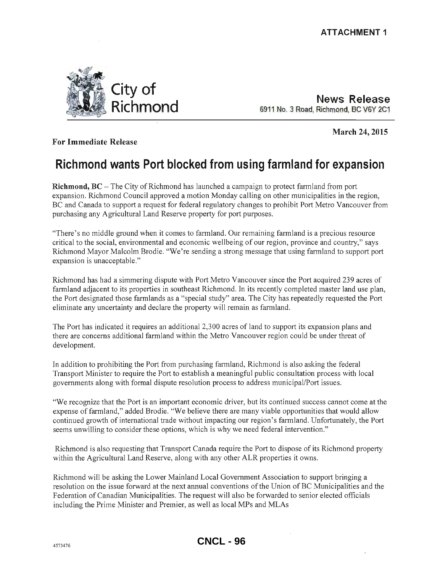**March 24, 2015** 



**News Release**  6911 NO. 3 Road, Richmond. BC V6Y 2C1

**For Immediate Release** 

# **Richmond wants Port blocked from using farmland for expansion**

**Richmond, BC** – The City of Richmond has launched a campaign to protect farmland from port expansion. Richmond Council approved a motion Monday calling on other municipalities in the region, BC and Canada to support a request for federal regulatory changes to prohibit Port Metro Vancouver from purchasing any Agricultural Land Reserve property for port purposes.

"There's no middle ground when it comes to farmland. Our remaining farmland is a precious resource critical to the social, environmental and economic wellbeing of our region, province and country," says Richmond Mayor Malcolm Brodie. "We're sending a strong message that using farmland to support port expansion is unacceptable."

Richmond has had a simmering dispute with Port Metro Vancouver since the Port acquired 239 acres of farmland adjacent to its properties in southeast Richmond. In its recently completed master land use plan, the Port designated those farmlands as a "special study" area. The City has repeatedly requested the Port eliminate any uncertainty and declare the property will remain as farmland.

The Port has indicated it requires an additional 2,300 acres of land to support its expansion plans and there are concerns additional farmland within the Metro Vancouver region could be under threat of development.

In addition to prohibiting the Port from purchasing farmland, Richmond is also asking the federal Transport Minister to require the Port to establish a meaningful public consultation process with local governments along with formal dispute resolution process to address municipal/Port issues.

"We recognize that the Port is an important economic driver, but its continued success cannot come at the expense of farmland," added Brodie. "We believe there are many viable opportunities that would allow continued growth of international trade without impacting our region's fannland. Unfortunately, the Port seems unwilling to consider these options, which is why we need federal intervention."

Richmond is also requesting that Transport Canada require the Port to dispose of its Richmond property within the Agricultural Land Reserve, along with any other ALR properties it owns.

Richmond will be asking the Lower Mainland Local Government Association to support bringing a resolution on the issue forward at the next annual conventions of the Union of BC Municipalities and the Federation of Canadian Municipalities. The request will also be forwarded to senior elected officials including the Prime Minister and Premier, as well as local MPs and MLAs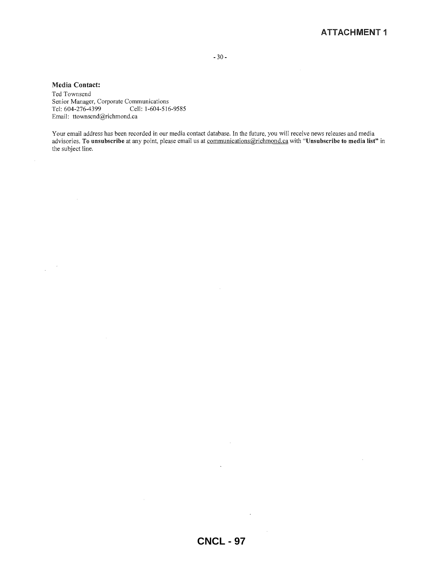- 30-

#### Media Contact:

 $\frac{1}{2} \left( \frac{1}{2} \right)^2$ 

Ted Townsend Senior Manager, Corporate Communications Tel: 604-276-4399 Cell: 1-604-516-9585 Email: ttownsend@richmond.ca

Your email address has been recorded in our media contact database. In the future, you will receive news releases and media advisories. To unsubscribe at any point, please email us at <u>communications@richmond.ca</u> with "Unsubscribe to media list" in the subject line.

 $\sim 10^6$ 

 $\sim$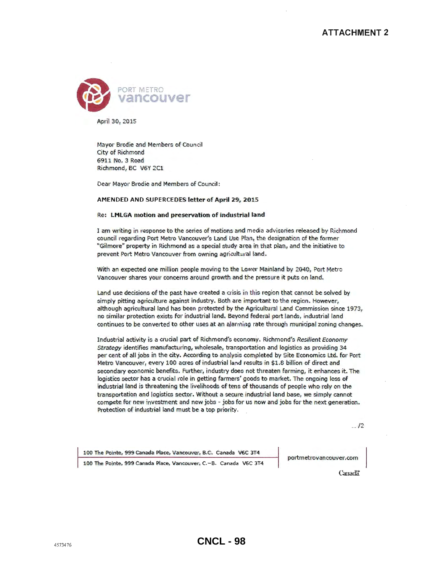

April 30, 2015

Mayor Brodie and Members of Council City of Richmond 6911 No. 3 Road Richmond, BC V6Y 2C1

Dear Mayor Brodie and Members of Council:

#### AMENDED AND SUPERCEDES letter of April 29, 2015

#### Re: LMLGA motion and preservation of industrial land

I am writing in response to the series of motions and media advisories released by Richmond council regarding Port Metro Vancouver's Land Use Plan, the designation of the former "Gilmore" property in Richmond as a special study area in that plan, and the initiative to prevent Port Metro Vancouver from owning agricultural land.

With an expected one million people moving to the Lower Mainland by 2040, Port Metro Vancouver shares your concerns around growth and the pressure it puts on land.

Land use decisions of the past have created a crisis in this region that cannot be solved by simply pitting agriculture against industry. Both are important to the region. However, although agricultural land has been protected by the Agricultural Land Commission since 1973, no similar protection exists for industrial land. Beyond federal port lands, industrial land continues to be converted to other uses at an alarming rate through municipal zoning changes.

Industrial activity is a crucial part of Richmond's economy. Richmond's Resilient Economy Strategy identifies manufacturing, wholesale, transportation and logistics as providing 34 per cent of all jobs in the city. According to analysis completed by Site Economics Ltd. for Port Metro Vancouver, every 100 acres of industrial land results in \$1.8 billion of direct and secondary economic benefits. Further, industry does not threaten farming, it enhances it. The logistics sector has a crucial role in getting farmers' goods to market. The ongoing loss of industrial land is threatening the livelihoods of tens of thousands of people who rely on the transportation and logistics sector. Without a secure industrial land base, we simply cannot compete for new investment and new jobs - jobs for us now and jobs for the next generation. Protection of industrial land must be a top priority.

 $12$ 

100 The Pointe, 999 Canada Place, Vancouver, B.C. Canada V6C 3T4

portmetrovancouver.com

100 The Pointe, 999 Canada Place, Vancouver, C.-B. Canada V6C 3T4

Canadä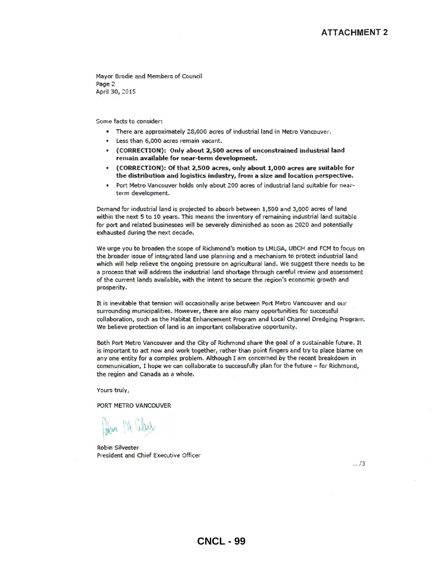Mayor Brodie and Members of Council Page 2 Aptil 30, 2015

Some facts to consider:

- There are approximately 28,000 acres of industrial land in Metro Vancouver.
- Less than 6,000 acres remain vacant.
- (CORRECTION): Only about 2,500 acres of unconstrained industrial land remain available for near-term development.
- (CORRECTION): Of that 2,500 acres, only about 1,000 acres are suitable for the distribution and logistics industry, from a size and location perspective.
- Port Metro Vancouver holds only about 200 acres of industrial land suitable for nearterm development.

Demand for industrial land is projected to absorb between 1,500 and 3,000 acres of land within the next 5 to 10 years. This means the inventory of remaining industrial land suitable for port and related businesses will be severely diminished as soon as 2020 and potentially exhausted during the next decade.

We urge you to broaden the scope of Richmond's motion to LMLGA, UBCM and FCM to focus on: the broader issue of integrated land use planning and a mechanism to protect industrial land which will help relieve the ongoing pressure on agricultural land. We suggest there needs to be a process that will address the industrial land shortage through careful review and assessment of the current lands available, with the intent to secure the region's economic growth and prosperity.

It is inevitable that tension will occasionally arise between Port Metro Vancouver and our surrounding municipalities. However, there are also many opportunities for successful collaboration, such as the Habitat Enhancement Program and Local Channel Dredging Program. We believe protection of land is an important collaborative opportunity.

Both Port Metro Vancouver and the City of Richmond share the goal of a sustainable future. It is important to act now and work together, rather than point fingers and try to place blame on any one entity for a complex problem. Although I am concerned by the recent breakdown in communication, I hope we can collaborate to successfully plan for the future - for Richmond, the region and Canada as a whole.

Yours truly,

PORT METRO VANCOUVER

Robin Silvester President and Chief Executive Officer

 $... / 3$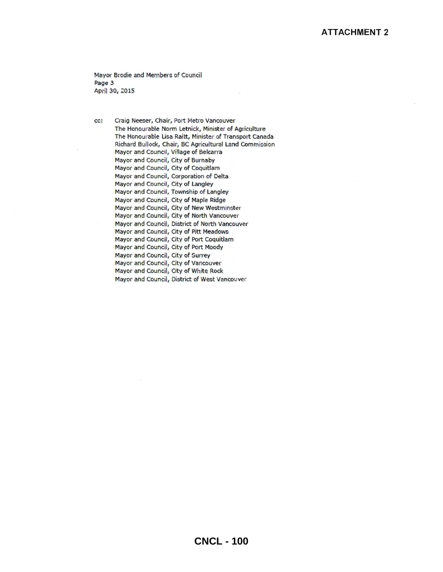Mayor Brodie and Members of Council Page 3 April 30, 2015

cc: Craig Neeser, Chair, Port Metro Vancouver The Honourable Norm Letnick, Minister of Agriculture The Honourable lisa Raitt, Minister of Transport Canada Richard Bullock, Chair, BC Agricultural Land Commission Mayor and Council, Village of Belcarra Mayor and Council, City of Burnaby 'Mayor and Council, City of Coquitlam Mayor and Council, Corporation of Delta Mayor and Council, City of Langley Mayor and Council, Township of Langley Mayor and Council, City of Maple Ridge 'Mayor and Council, City of New Westminster Mayor and Council, City of North Vancouver Mayor and Council, District of North Vancouver Mayor and Council, City of Pitt Meadows Mayor and Council, City of Port Coquitiam Mayor and Council, City of Port Moody Mayor and Council, City of Surrey Mayor and Council, City of Vancouver Mayor and Council, City of White Rock Mayor and Council, District of West Vancouver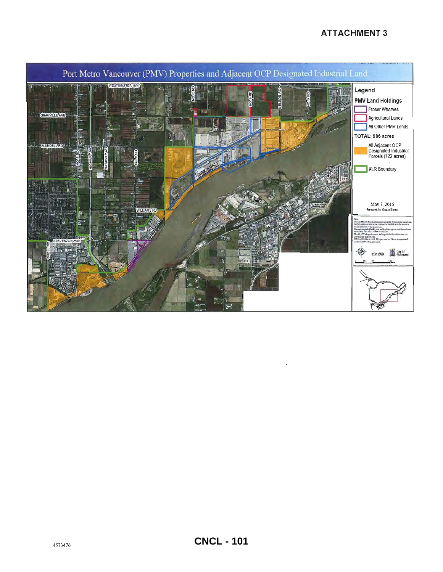# **ATTACHMENT 3**

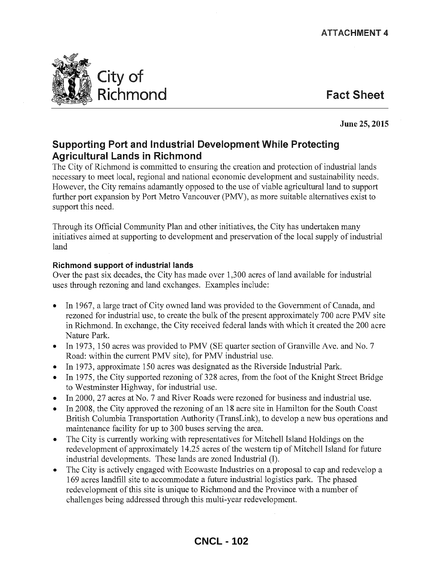

# June 25, 2015

# Supporting Port and Industrial Development While Protecting Agricultural Lands in Richmond

The City of Richmond is committed to ensuring the creation and protection of industrial lands necessary to meet local, regional and national economic development and sustainability needs. However, the City remains adamantly opposed to the use of viable agricultural land to support further port expansion by Port Metro Vancouver (PMV), as more suitable alternatives exist to support this need.

Through its Official Community Plan and other initiatives, the City has undertaken many initiatives aimed at supporting to development and preservation of the local supply of industrial land

# Richmond support of industrial lands

Over the past six decades, the City has made over 1,300 acres of land available for industrial uses through rezoning and land exchanges. Examples include:

- In 1967, a large tract of City owned land was provided to the Government of Canada, and rezoned for industrial use, to create the bulk of the present approximately 700 acre PMV site in Richmond. In exchange, the City received federal lands with which it created the 200 acre Nature Park.
- In 1973, 150 acres was provided to PMV (SE quarter section of Granville Ave. and No. 7 Road: within the current PMV site), for PMV industrial use.
- e In 1973, approximate 150 acres was designated as the Riverside Industrial Park.
- e In 1975, the City supported rezoning of 328 acres, from the foot of the Knight Street Bridge to Westminster Highway, for industrial use.
- In 2000, 27 acres at No. 7 and River Roads were rezoned for business and industrial use.
- e In 2008, the City approved the rezoning of an 18 acre site in Hamilton for the South Coast British Columbia Transportation Authority (TransLink), to develop a new bus operations and maintenance facility for up to 300 buses serving the area.
- e The City is currently working with representatives for Mitchell Island Holdings on the redevelopment of approximately 14.25 acres of the western tip of Mitchell Island for future industrial developments. These lands are zoned Industrial (I).
- The City is actively engaged with Ecowaste Industries on a proposal to cap and redevelop a 169 acres landfill site to accommodate a future industrial logistics park. The phased redevelopment of this site is unique to Richmond and the Province with a number of challenges being addressed through this multi-year redevelopment.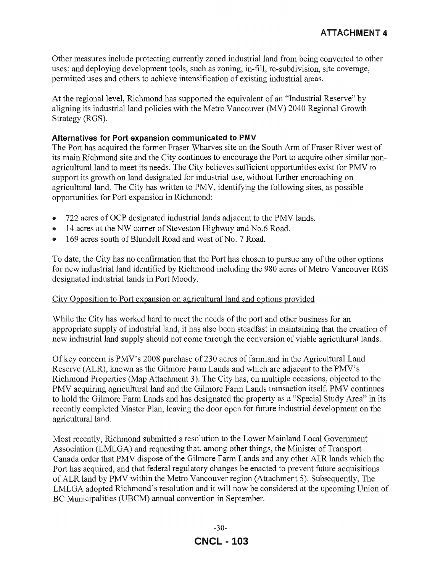Other measures include protecting currently zoned industrial land from being converted to other uses; and deploying development tools, such as zoning, in-fill, re-subdivision, site coverage, permitted uses and others to achieve intensification of existing industrial areas.

At the regional level, Richmond has supported the equivalent of an "Industrial Reserve" by aligning its industrial land policies with the Metro Vancouver (MV) 2040 Regional Growth Strategy (RGS).

# Alternatives for Port expansion communicated to PMV

The Port has acquired the former Fraser Wharves site on the South Arm of Fraser River west of its main Richmond site and the City continues to encourage the Port to acquire other similar nonagricultural land to meet its needs. The City believes sufficient opportunities exist for PMV to support its growth on land designated for industrial use, without further encroaching on agricultural land. The City has written to PMV, identifying the following sites, as possible opportunities for Port expansion in Richmond:

- 722 acres of OCP designated industrial lands adjacent to the PMV lands.
- 14 acres at the NW corner of Steveston Highway and No.6 Road.
- 169 acres south of Blundell Road and west of No. 7 Road.

To date, the City has no confirmation that the Port has chosen to pursue any of the other options for new industrial land identified by Richmond including the 980 acres of Metro Vancouver RGS designated industrial lands in Port Moody.

# City Opposition to Port expansion on agricultural land and options provided

While the City has worked hard to meet the needs of the port and other business for an appropriate supply of industrial land, it has also been steadfast in maintaining that the creation of new industrial land supply should not come through the conversion of viable agricultural lands.

Of key concern is PMV's 2008 purchase of230 acres of farmland in the Agricultural Land Reserve (ALR), known as the Gilmore Farm Lands and which are adjacent to the PMV's Richmond Properties (Map Attachment 3). The City has, on multiple occasions, objected to the PMV acquiring agricultural land and the Gilmore Farm Lands transaction itself. PMV continues to hold the Gilmore Farm Lands and has designated the property as a "Special Study Area" in its recently completed Master Plan, leaving the door open for future industrial development on the agricultural land.

Most recently, Richmond submitted a resolution to the Lower Mainland Local Government Association (LMLGA) and requesting that, among other things, the Minister of Transport Canada order that PMV dispose of the Gilmore Farm Lands and any other ALR lands which the Port has acquired, and that federal regulatory changes be enacted to prevent future acquisitions of ALR land by PMV within the Metro Vancouver region (Attachment 5). Subsequently, The LMLGA adopted Richmond's resolution and it will now be considered at the upcoming Union of BC Municipalities (UBCM) annual convention in September.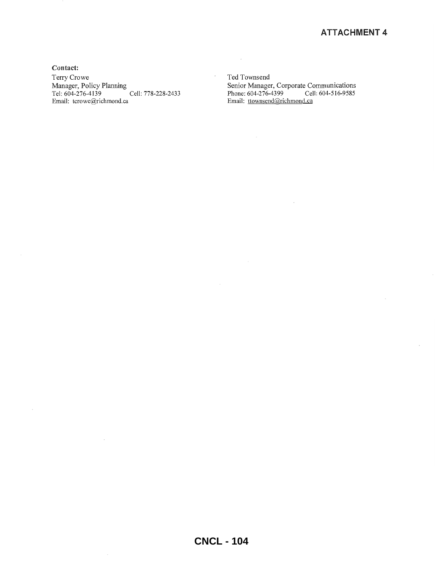Contact: Terry Crowe Manager, Policy Planning Tel: 604-276-4139 Cell: 778-228-2433 Email: tcrowe@richmond.ca

Ted Townsend Senior Manager, Corporate Communications Phone: 604-276-4399 Cell: 604-516-9585 Email: ttownsend@richmond.ca

 $\mathcal{L}_{\mathcal{A}}$ 

 $\cdot$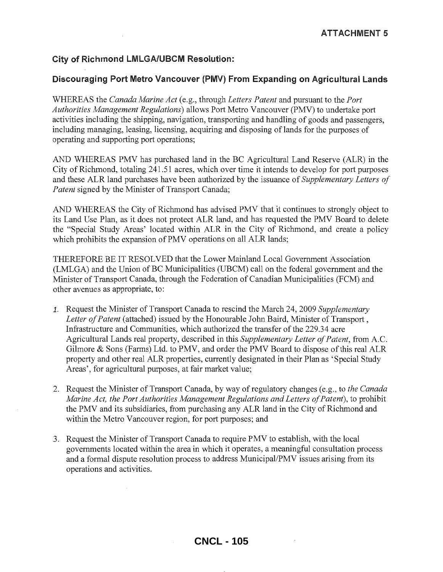# City of Richmond lMLGA/UBCM Resolution:

# Discouraging Port Metro Vancouver (PMV) From Expanding on Agricultural Lands

WHEREAS the *Canada Marine Act* (e.g., through *Letters Patent* and pursuant to the *Port Authorities Management Regulations)* allows Port Metro Vancouver (PMV) to undertake port activities including the shipping, navigation, transporting and handling of goods and passengers, including managing, leasing, licensing, acquiring and disposing of lands for the purposes of operating and supporting port operations;

AND WHEREAS PMV has purchased land in the BC Agricultural Land Reserve (ALR) in the City of Richmond, totaling 241.51 acres, which over time it intends to develop for port purposes and these ALR land purchases have been authorized by the issuance of *Supplementary Letters of Patent* signed by the Minister of Transport Canada;

AND WHEREAS the City of Richmond has advised PMV that it continues to strongly object to its Land Use Plan, as it does not protect ALR land, and has requested the PMV Board to delete the "Special Study Areas' located within ALR in the City of Richmond, and create a policy which prohibits the expansion of PMV operations on all ALR lands;

THEREFORE BE IT RESOLVED that the Lower Mainland Local Government Association (LMLGA) and the Union of BC Municipalities (UBCM) call on the federal government and the Minister of Transport Canada, through the Federation of Canadian Municipalities (FCM) and other avenues as appropriate, to:

- 1. Request the Minister of Transport Canada to rescind the March 24, 2009 *Supplementary Letter of Patent* (attached) issued by the Honourable John Baird, Minister of Transport , Infrastructure and Communities, which authorized the transfer of the 229.34 acre Agricultural Lands real property, described in this *Supplementary Letter of Patent,* from A.C. Gilmore & Sons (Farms) Ltd. to PMV, and order the PMV Board to dispose of this real ALR property and other real ALR properties, currently designated in their Plan as 'Special Study Areas', for agricultural purposes, at fair market value;
- 2. Request the Minister of Transport Canada, by way of regulatory changes (e.g., to *the Canada Marine Act, the Port Authorities Management Regulations and Letters of Patent*), to prohibit the PMV and its subsidiaries, from purchasing any ALR land in the City of Richmond and within the Metro Vancouver region, for port purposes; and
- 3. Request the Minister of Transport Canada to require PMV to establish, with the local governments located within the area in which it operates, a meaningful consultation process and a formal dispute resolution process to address Municipal/PMV issues arising from its operations and activities.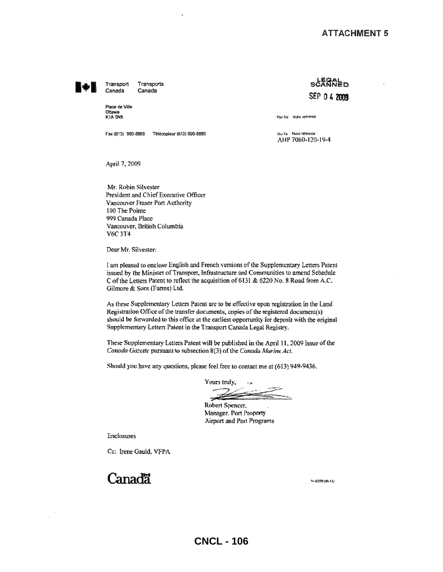Transports Transport Canada Canada

Place de Ville Official **K1A GNS** 

Fax (613) 990-8889 Télécopieur (613) 990-8889

**stander** SEP D 4 2009

Your Ric Volte référence

Cru Sie - Naue (dibrence AHP 7060-120-19-4

April 7, 2009

Mr. Robin Silvester President and Chief Executive Officer Vancouver Fraser Port Authority 100 The Pointe 999 Canada Place Vancouver, British Columbia V6C 3T4

Dear Mr. Silvester:

I am pleased to enclose English and French versions of the Supplementary Letters Patent issued by the Minister of Transport, Infrastructure and Communities to amend Schedule C of the Letters Patent to reflect the acquisition of 6131 & 6220 No. 8 Road from A.C. Gilmore & Sons (Farms) Ltd.

As these Supplementary Letters Patent are to be effective upon registration in the Land Registration Office of the transfer documents, copies of the registered document(s) should be forwarded to this office at the earliest opportunity for deposit with the original Supplementary Letters Patent in the Transport Canada Legal Registry.

These Supplementary Letters Patent will be published in the April 11, 2009 issue of the Canada Gazette pursuant to subsection 8(3) of the Canada Marine Act.

Should you have any questions, please feel free to contact me at (613) 949-9436.

Yours truly,

Robert Spencer, Manager, Port Property Airport and Port Programs

Enclosures

Cc: Irene Gauld, VFPA

 $C$ anad $\ddot{\mathbf{a}}$ 

35-0208 (96-12)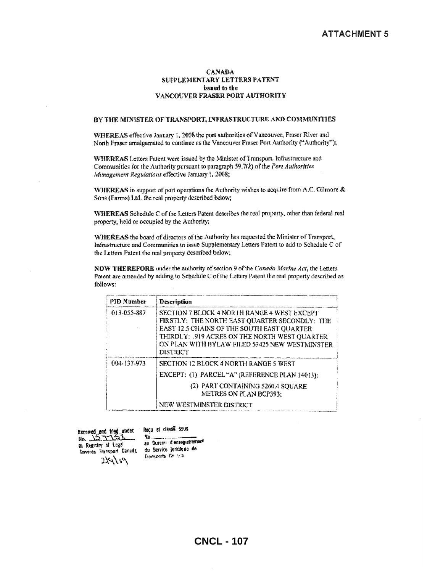#### **CANADA** SUPPLEMENTARY LETTERS PATENT issued to the VANCOUVER FRASER PORT AUTHORITY

#### BY THE MINISTER OF TRANSPORT, INFRASTRUCTURE AND COMMUNITIES

WHEREAS effective January 1, 2008 the port authorities of Vancouver, Fraser River and North Fraser amalgamated to continue as the Vancouver Fraser Port Authority ("Authority");

WHEREAS Letters Patent were issued by the Minister of Transport, Infrastructure and Communities for the Authority pursuant to paragraph  $59.7(k)$  of the Port Authorities Management Regulations effective January 1, 2008;

WHEREAS in support of port operations the Authority wishes to acquire from A.C. Gilmore & Sons (Farms) Ltd. the real property described below;

WHEREAS Schedule C of the Letters Patent describes the real property, other than federal real property, held or occupied by the Authority;

WHEREAS the board of directors of the Authority has requested the Minister of Transport, Infrastructure and Communities to issue Supplementary Letters Patent to add to Schedule C of the Letters Patent the real property described below;

NOW THEREFORE under the authority of section 9 of the Canada Marine Act, the Letters Patent are amended by adding to Schedule C of the Letters Patent the real property described as follows:

| <b>PID Number</b> | Description                                                                                                                                                                                                                                               |
|-------------------|-----------------------------------------------------------------------------------------------------------------------------------------------------------------------------------------------------------------------------------------------------------|
| 013-055-887       | SECTION 7 BLOCK 4 NORTH RANGE 4 WEST EXCEPT<br>FIRSTLY: THE NORTH EAST QUARTER SECONDLY: THE<br>EAST 12.5 CHAINS OF THE SOUTH EAST QUARTER<br>THIRDLY: .919 ACRES ON THE NORTH WEST QUARTER<br>ON PLAN WITH BYLAW FILED 53425 NEW WESTMINSTER<br>DISTRICT |
| 004-137-973       | <b>SECTION 12 BLOCK 4 NORTH RANGE 5 WEST</b><br>EXCEPT: (1) PARCEL "A" (REFERENCE PLAN 14013);<br>(2) PART CONTAINING 5260.4 SOUARE<br><b>METRES ON PLAN BCP393:</b><br>NEW WESTMINSTER DISTRICT                                                          |

Received and filed under

Recu et classe sovs.

In Registry of Legal Services Transport Canada 7141 P

**Yo...** au Bureau d'envegistrement du Service juridique de **Louisiants** Central